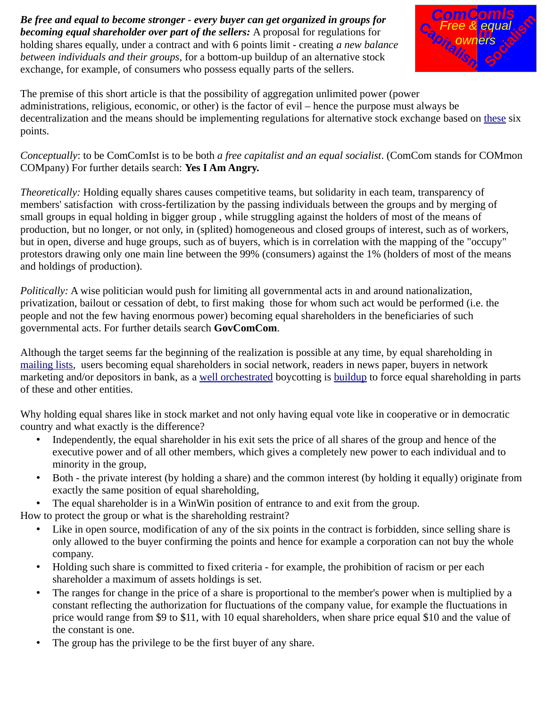*Be free and equal to become stronger - every buyer can get organized in groups for becoming equal shareholder over part of the sellers:* A proposal for regulations for holding shares equally, under a contract and with 6 points limit - creating *a new balance between individuals and their groups*, for a bottom-up buildup of an alternative stock exchange, for example, of consumers who possess equally parts of the sellers.



The premise of this short article is that the possibility of aggregation unlimited power (power administrations, religious, economic, or other) is the factor of evil – hence the purpose must always be decentralization and the means should be implementing regulations for alternative stock exchange based on [these](http://is-with.wikidot.com/6-points) six points.

*Conceptually*: to be ComComIst is to be both *a free capitalist and an equal socialist*. (ComCom stands for COMmon COMpany) For further details search: **Yes I Am Angry.**

*Theoretically:* Holding equally shares causes competitive teams, but solidarity in each team, transparency of members' satisfaction with cross-fertilization by the passing individuals between the groups and by merging of small groups in equal holding in bigger group , while struggling against the holders of most of the means of production, but no longer, or not only, in (splited) homogeneous and closed groups of interest, such as of workers, but in open, diverse and huge groups, such as of buyers, which is in correlation with the mapping of the "occupy" protestors drawing only one main line between the 99% (consumers) against the 1% (holders of most of the means and holdings of production).

*Politically:* A wise politician would push for limiting all governmental acts in and around nationalization, privatization, bailout or cessation of debt, to first making those for whom such act would be performed (i.e. the people and not the few having enormous power) becoming equal shareholders in the beneficiaries of such governmental acts. For further details search **GovComCom**.

Although the target seems far the beginning of the realization is possible at any time, by equal shareholding in [mailing lists,](http://yes-again-we-can.wikidot.com/) users becoming equal shareholders in social network, readers in news paper, buyers in network marketing and/or depositors in bank, as a [well orchestrated](http://yes-i-am-angry.wikidot.com/) boycotting is [buildup](http://buildup.wikidot.com/) to force equal shareholding in parts of these and other entities.

Why holding equal shares like in stock market and not only having equal vote like in cooperative or in democratic country and what exactly is the difference?

- Independently, the equal shareholder in his exit sets the price of all shares of the group and hence of the executive power and of all other members, which gives a completely new power to each individual and to minority in the group,
- Both the private interest (by holding a share) and the common interest (by holding it equally) originate from exactly the same position of equal shareholding,
- The equal shareholder is in a WinWin position of entrance to and exit from the group.

How to protect the group or what is the shareholding restraint?

- Like in open source, modification of any of the six points in the contract is forbidden, since selling share is only allowed to the buyer confirming the points and hence for example a corporation can not buy the whole company.
- Holding such share is committed to fixed criteria for example, the prohibition of racism or per each shareholder a maximum of assets holdings is set.
- The ranges for change in the price of a share is proportional to the member's power when is multiplied by a constant reflecting the authorization for fluctuations of the company value, for example the fluctuations in price would range from \$9 to \$11, with 10 equal shareholders, when share price equal \$10 and the value of the constant is one.
- The group has the privilege to be the first buyer of any share.